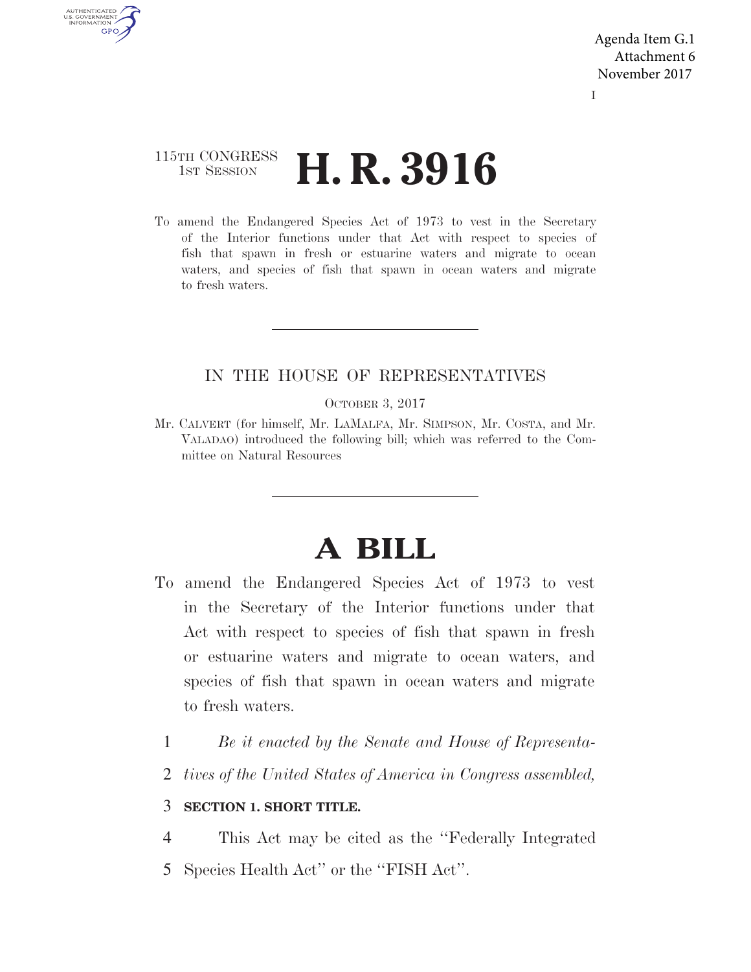### 115TH CONGRESS **1ST SESSION <b>H. R. 3916**

AUTHENTICATED U.S. GOVERNMENT **GPO** 

> To amend the Endangered Species Act of 1973 to vest in the Secretary of the Interior functions under that Act with respect to species of fish that spawn in fresh or estuarine waters and migrate to ocean waters, and species of fish that spawn in ocean waters and migrate to fresh waters.

#### IN THE HOUSE OF REPRESENTATIVES

OCTOBER 3, 2017

Mr. CALVERT (for himself, Mr. LAMALFA, Mr. SIMPSON, Mr. COSTA, and Mr. VALADAO) introduced the following bill; which was referred to the Committee on Natural Resources

# **A BILL**

- To amend the Endangered Species Act of 1973 to vest in the Secretary of the Interior functions under that Act with respect to species of fish that spawn in fresh or estuarine waters and migrate to ocean waters, and species of fish that spawn in ocean waters and migrate to fresh waters.
	- 1 *Be it enacted by the Senate and House of Representa-*
	- 2 *tives of the United States of America in Congress assembled,*

#### 3 **SECTION 1. SHORT TITLE.**

4 This Act may be cited as the ''Federally Integrated 5 Species Health Act'' or the ''FISH Act''.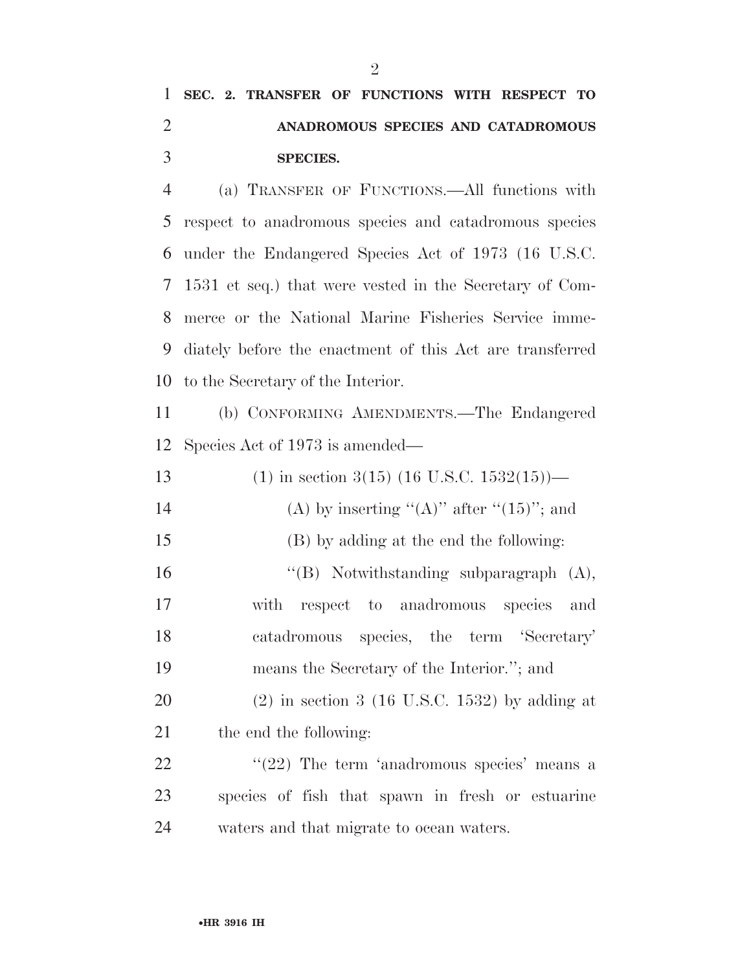## **SEC. 2. TRANSFER OF FUNCTIONS WITH RESPECT TO ANADROMOUS SPECIES AND CATADROMOUS SPECIES.**

 (a) TRANSFER OF FUNCTIONS.—All functions with respect to anadromous species and catadromous species under the Endangered Species Act of 1973 (16 U.S.C. 1531 et seq.) that were vested in the Secretary of Com- merce or the National Marine Fisheries Service imme- diately before the enactment of this Act are transferred to the Secretary of the Interior.

 (b) CONFORMING AMENDMENTS.—The Endangered Species Act of 1973 is amended—

| 13 | $(1)$ in section 3(15) (16 U.S.C. 1532(15))—     |
|----|--------------------------------------------------|
| 14 | (A) by inserting "(A)" after "(15)"; and         |
| 15 | (B) by adding at the end the following:          |
| 16 | "(B) Notwithstanding subparagraph $(A)$ ,        |
| 17 | with respect to anadromous species and           |
| 18 | catadromous species, the term 'Secretary'        |
| 19 | means the Secretary of the Interior."; and       |
| 20 | $(2)$ in section 3 (16 U.S.C. 1532) by adding at |
| 21 | the end the following:                           |
| 22 | $\lq(22)$ The term 'anadromous species' means a  |
| 23 | species of fish that spawn in fresh or estuarine |

waters and that migrate to ocean waters.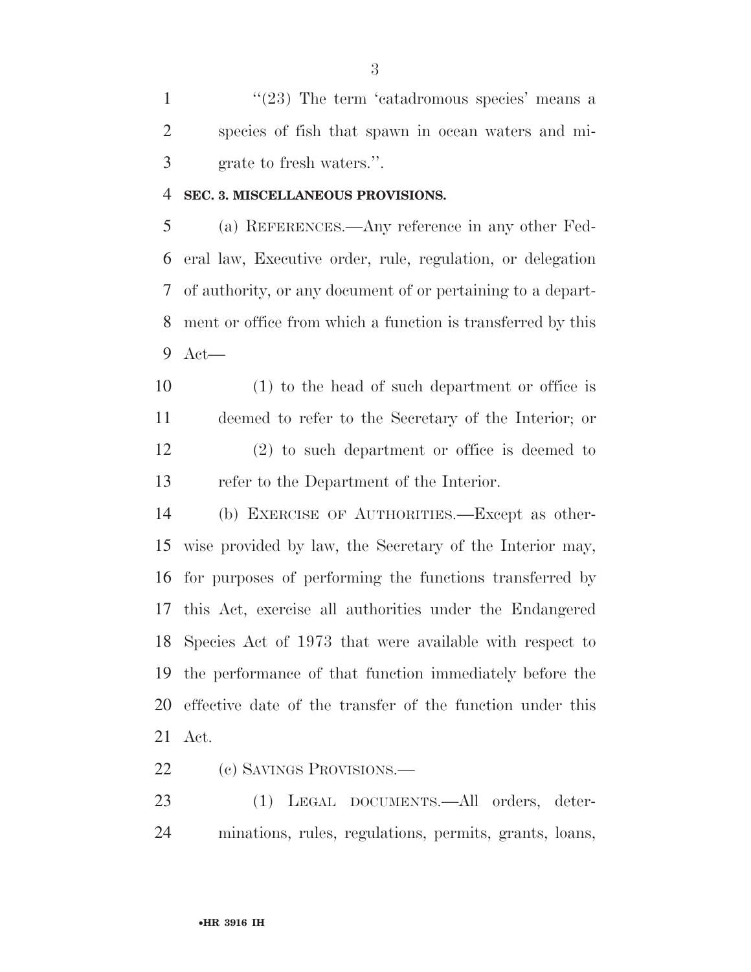1 ''(23) The term 'catadromous species' means a species of fish that spawn in ocean waters and mi-grate to fresh waters.''.

#### **SEC. 3. MISCELLANEOUS PROVISIONS.**

 (a) REFERENCES.—Any reference in any other Fed- eral law, Executive order, rule, regulation, or delegation of authority, or any document of or pertaining to a depart- ment or office from which a function is transferred by this Act—

 (1) to the head of such department or office is deemed to refer to the Secretary of the Interior; or (2) to such department or office is deemed to refer to the Department of the Interior.

 (b) EXERCISE OF AUTHORITIES.—Except as other- wise provided by law, the Secretary of the Interior may, for purposes of performing the functions transferred by this Act, exercise all authorities under the Endangered Species Act of 1973 that were available with respect to the performance of that function immediately before the effective date of the transfer of the function under this Act.

(c) SAVINGS PROVISIONS.—

 (1) LEGAL DOCUMENTS.—All orders, deter-minations, rules, regulations, permits, grants, loans,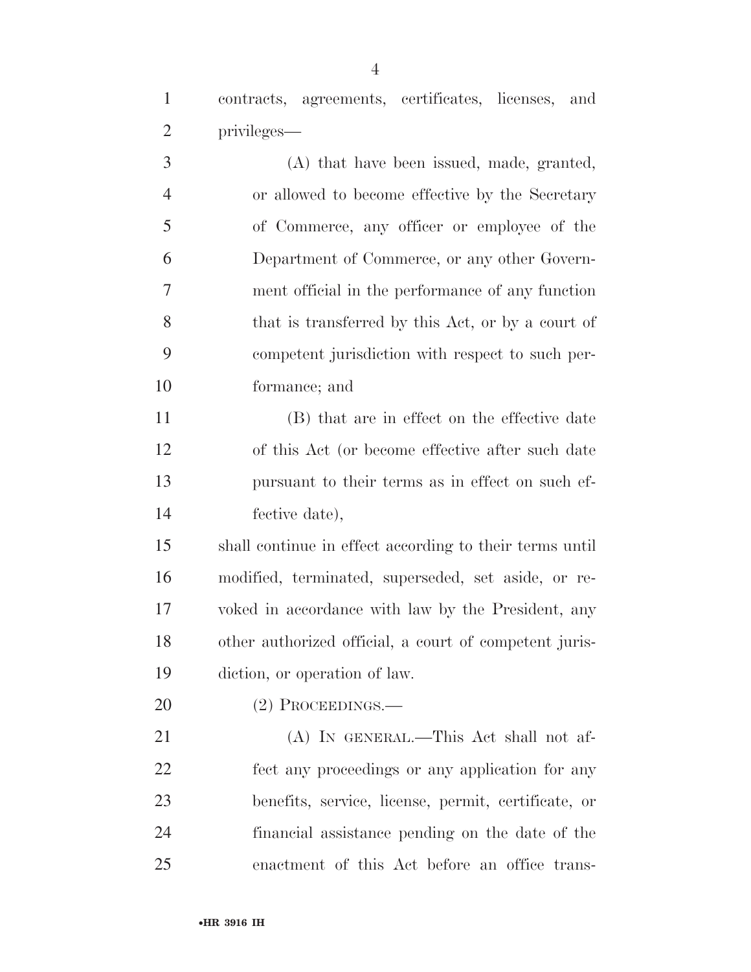contracts, agreements, certificates, licenses, and privileges—

 (A) that have been issued, made, granted, or allowed to become effective by the Secretary of Commerce, any officer or employee of the Department of Commerce, or any other Govern- ment official in the performance of any function that is transferred by this Act, or by a court of competent jurisdiction with respect to such per-formance; and

 (B) that are in effect on the effective date of this Act (or become effective after such date pursuant to their terms as in effect on such ef-fective date),

 shall continue in effect according to their terms until modified, terminated, superseded, set aside, or re- voked in accordance with law by the President, any other authorized official, a court of competent juris-diction, or operation of law.

(2) PROCEEDINGS.—

 (A) IN GENERAL.—This Act shall not af- fect any proceedings or any application for any benefits, service, license, permit, certificate, or financial assistance pending on the date of the enactment of this Act before an office trans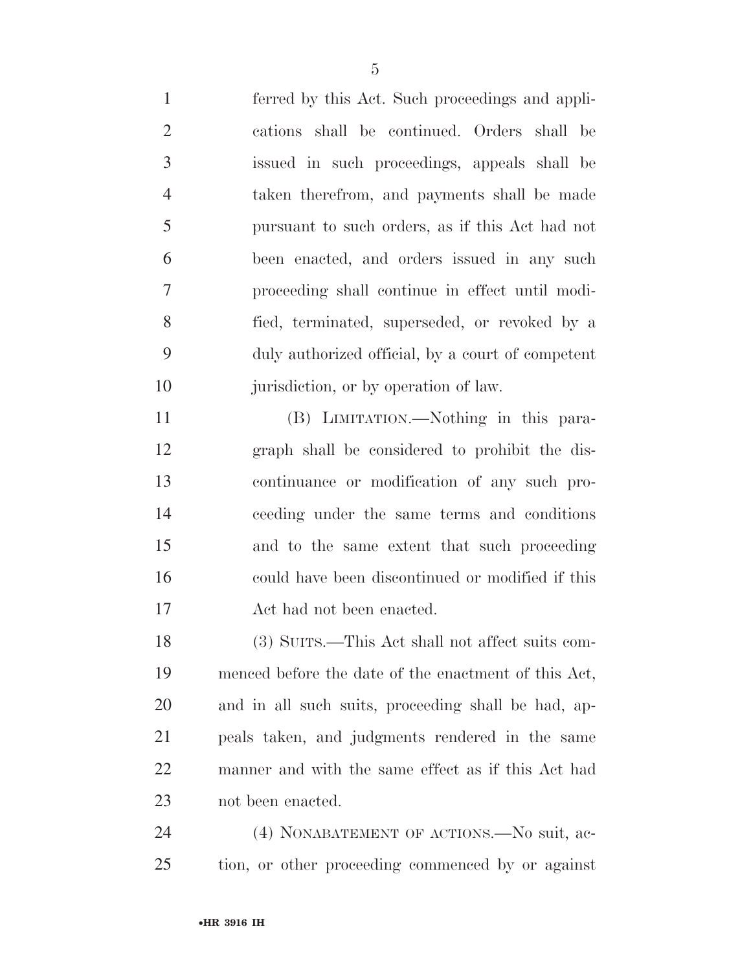ferred by this Act. Such proceedings and appli- cations shall be continued. Orders shall be issued in such proceedings, appeals shall be taken therefrom, and payments shall be made pursuant to such orders, as if this Act had not been enacted, and orders issued in any such proceeding shall continue in effect until modi- fied, terminated, superseded, or revoked by a duly authorized official, by a court of competent jurisdiction, or by operation of law. (B) LIMITATION.—Nothing in this para- graph shall be considered to prohibit the dis- continuance or modification of any such pro- ceeding under the same terms and conditions and to the same extent that such proceeding could have been discontinued or modified if this Act had not been enacted. (3) SUITS.—This Act shall not affect suits com- menced before the date of the enactment of this Act, and in all such suits, proceeding shall be had, ap- peals taken, and judgments rendered in the same manner and with the same effect as if this Act had not been enacted. 24 (4) NONABATEMENT OF ACTIONS.—No suit, ac-

tion, or other proceeding commenced by or against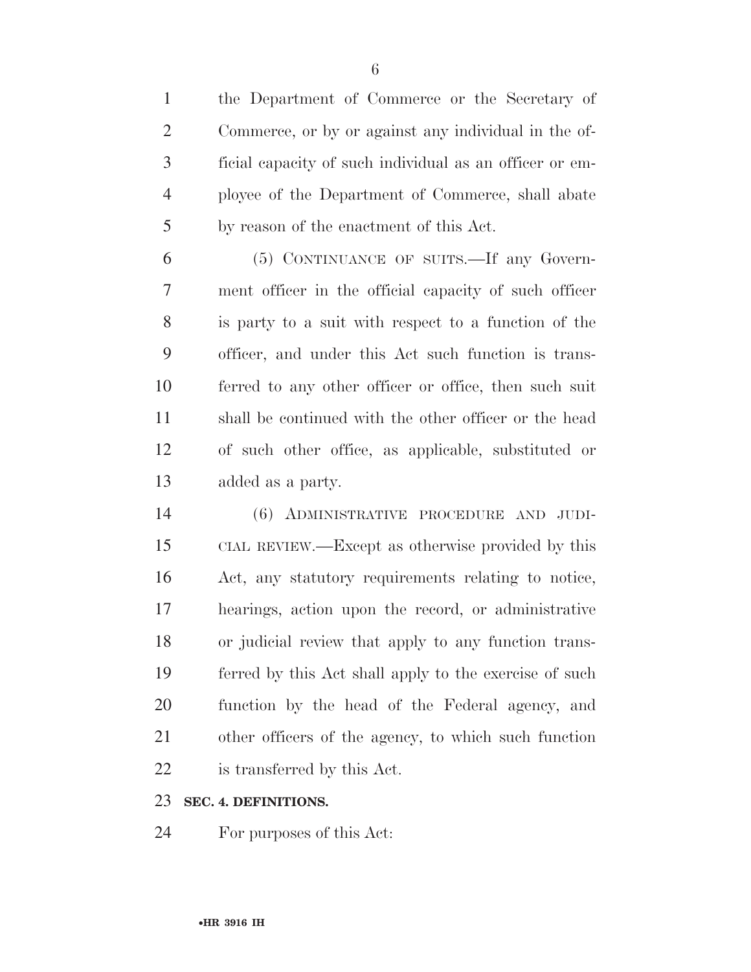the Department of Commerce or the Secretary of Commerce, or by or against any individual in the of- ficial capacity of such individual as an officer or em- ployee of the Department of Commerce, shall abate by reason of the enactment of this Act.

 (5) CONTINUANCE OF SUITS.—If any Govern- ment officer in the official capacity of such officer is party to a suit with respect to a function of the officer, and under this Act such function is trans- ferred to any other officer or office, then such suit shall be continued with the other officer or the head of such other office, as applicable, substituted or added as a party.

 (6) ADMINISTRATIVE PROCEDURE AND JUDI- CIAL REVIEW.—Except as otherwise provided by this Act, any statutory requirements relating to notice, hearings, action upon the record, or administrative or judicial review that apply to any function trans- ferred by this Act shall apply to the exercise of such function by the head of the Federal agency, and other officers of the agency, to which such function is transferred by this Act.

#### **SEC. 4. DEFINITIONS.**

For purposes of this Act: